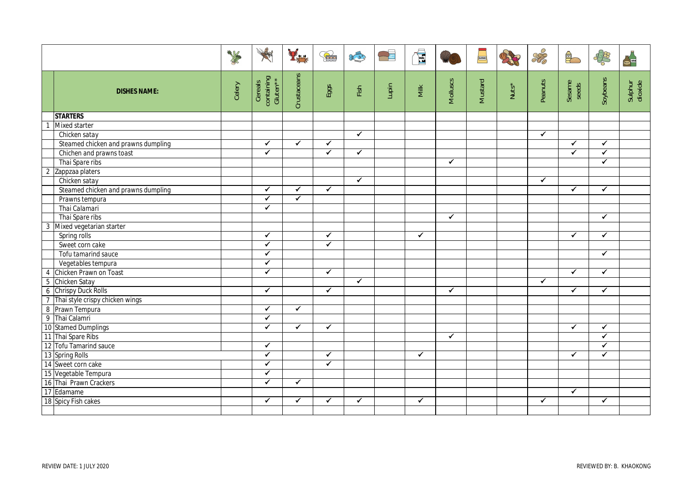|                |                                     | 大学     | 美                                 | 景装           | $\mathbb{R}$ | $\begin{picture}(40,40) \put(0,0){\line(1,0){10}} \put(15,0){\line(1,0){10}} \put(15,0){\line(1,0){10}} \put(15,0){\line(1,0){10}} \put(15,0){\line(1,0){10}} \put(15,0){\line(1,0){10}} \put(15,0){\line(1,0){10}} \put(15,0){\line(1,0){10}} \put(15,0){\line(1,0){10}} \put(15,0){\line(1,0){10}} \put(15,0){\line(1,0){10}} \put(15,0){\line(1$ | <b>Expire</b> | <b>EE</b>    |              | <b>MUSTARD</b> |         | S            | $\triangle$          | $\frac{1}{2}$           | $\sum_{n=1}^{\infty}$ |
|----------------|-------------------------------------|--------|-----------------------------------|--------------|--------------|-----------------------------------------------------------------------------------------------------------------------------------------------------------------------------------------------------------------------------------------------------------------------------------------------------------------------------------------------------|---------------|--------------|--------------|----------------|---------|--------------|----------------------|-------------------------|-----------------------|
|                | <b>DISHES NAME:</b>                 | Celery | Cereals<br>containing<br>Gluten** | Crustaceans  | Eggs         | Fish                                                                                                                                                                                                                                                                                                                                                | Lupin         | Milk         | Molluscs     | Mustard        | $Nuts*$ | Peanuts      | Sesame<br>seeds      | Soybeans                | Sulphur<br>dioxide    |
|                | <b>STARTERS</b>                     |        |                                   |              |              |                                                                                                                                                                                                                                                                                                                                                     |               |              |              |                |         |              |                      |                         |                       |
| $\overline{1}$ | Mixed starter                       |        |                                   |              |              |                                                                                                                                                                                                                                                                                                                                                     |               |              |              |                |         |              |                      |                         |                       |
|                | Chicken satay                       |        |                                   |              |              | $\checkmark$                                                                                                                                                                                                                                                                                                                                        |               |              |              |                |         | $\checkmark$ |                      |                         |                       |
|                | Steamed chicken and prawns dumpling |        | $\checkmark$                      | $\checkmark$ | $\checkmark$ |                                                                                                                                                                                                                                                                                                                                                     |               |              |              |                |         |              | $\checkmark$         | $\checkmark$            |                       |
|                | Chichen and prawns toast            |        | $\checkmark$                      |              | $\checkmark$ | $\checkmark$                                                                                                                                                                                                                                                                                                                                        |               |              |              |                |         |              | ✓                    | $\overline{\checkmark}$ |                       |
|                | Thai Spare ribs                     |        |                                   |              |              |                                                                                                                                                                                                                                                                                                                                                     |               |              | $\checkmark$ |                |         |              |                      | ✓                       |                       |
|                | 2 Zappzaa platers                   |        |                                   |              |              |                                                                                                                                                                                                                                                                                                                                                     |               |              |              |                |         |              |                      |                         |                       |
|                | Chicken satay                       |        |                                   |              |              | $\checkmark$                                                                                                                                                                                                                                                                                                                                        |               |              |              |                |         | $\checkmark$ |                      |                         |                       |
|                | Steamed chicken and prawns dumpling |        | ✓                                 | $\checkmark$ | $\checkmark$ |                                                                                                                                                                                                                                                                                                                                                     |               |              |              |                |         |              | ✓                    | ✓                       |                       |
|                | Prawns tempura                      |        | $\checkmark$                      | $\checkmark$ |              |                                                                                                                                                                                                                                                                                                                                                     |               |              |              |                |         |              |                      |                         |                       |
|                | Thai Calamari                       |        | $\checkmark$                      |              |              |                                                                                                                                                                                                                                                                                                                                                     |               |              |              |                |         |              |                      |                         |                       |
|                | Thai Spare ribs                     |        |                                   |              |              |                                                                                                                                                                                                                                                                                                                                                     |               |              | $\checkmark$ |                |         |              |                      | $\checkmark$            |                       |
|                | 3 Mixed vegetarian starter          |        |                                   |              |              |                                                                                                                                                                                                                                                                                                                                                     |               |              |              |                |         |              |                      |                         |                       |
|                | Spring rolls                        |        | $\checkmark$                      |              | $\checkmark$ |                                                                                                                                                                                                                                                                                                                                                     |               | $\checkmark$ |              |                |         |              | $\checkmark$         | ✓                       |                       |
|                | Sweet corn cake                     |        | $\checkmark$                      |              | $\checkmark$ |                                                                                                                                                                                                                                                                                                                                                     |               |              |              |                |         |              |                      |                         |                       |
|                | Tofu tamarind sauce                 |        | ✓                                 |              |              |                                                                                                                                                                                                                                                                                                                                                     |               |              |              |                |         |              |                      | ✓                       |                       |
|                | Vegetables tempura                  |        | ✓                                 |              |              |                                                                                                                                                                                                                                                                                                                                                     |               |              |              |                |         |              |                      |                         |                       |
| $\overline{4}$ | Chicken Prawn on Toast              |        | $\checkmark$                      |              | $\checkmark$ |                                                                                                                                                                                                                                                                                                                                                     |               |              |              |                |         |              | $\checkmark$         | $\checkmark$            |                       |
|                | 5 Chicken Satay                     |        |                                   |              |              | $\checkmark$                                                                                                                                                                                                                                                                                                                                        |               |              |              |                |         | $\checkmark$ |                      |                         |                       |
|                | 6 Chrispy Duck Rolls                |        | $\checkmark$                      |              | $\checkmark$ |                                                                                                                                                                                                                                                                                                                                                     |               |              | $\checkmark$ |                |         |              | $\checkmark$         | $\checkmark$            |                       |
|                | 7 Thai style crispy chicken wings   |        |                                   |              |              |                                                                                                                                                                                                                                                                                                                                                     |               |              |              |                |         |              |                      |                         |                       |
|                | 8 Prawn Tempura                     |        | ✔                                 | $\checkmark$ |              |                                                                                                                                                                                                                                                                                                                                                     |               |              |              |                |         |              |                      |                         |                       |
|                | 9 Thai Calamri                      |        | $\checkmark$                      |              |              |                                                                                                                                                                                                                                                                                                                                                     |               |              |              |                |         |              |                      |                         |                       |
|                | 10 Stamed Dumplings                 |        | $\checkmark$                      | $\checkmark$ | $\checkmark$ |                                                                                                                                                                                                                                                                                                                                                     |               |              |              |                |         |              | $\checkmark$         | $\checkmark$            |                       |
|                | 11 Thai Spare Ribs                  |        |                                   |              |              |                                                                                                                                                                                                                                                                                                                                                     |               |              | $\checkmark$ |                |         |              |                      | $\blacktriangledown$    |                       |
|                | 12 Tofu Tamarind sauce              |        | $\checkmark$                      |              |              |                                                                                                                                                                                                                                                                                                                                                     |               |              |              |                |         |              |                      | ✓                       |                       |
|                | 13 Spring Rolls                     |        | $\checkmark$                      |              | $\checkmark$ |                                                                                                                                                                                                                                                                                                                                                     |               | $\checkmark$ |              |                |         |              | $\checkmark$         | ✓                       |                       |
|                | 14 Sweet corn cake                  |        | $\blacktriangledown$              |              | $\checkmark$ |                                                                                                                                                                                                                                                                                                                                                     |               |              |              |                |         |              |                      |                         |                       |
|                | 15 Vegetable Tempura                |        | $\checkmark$                      |              |              |                                                                                                                                                                                                                                                                                                                                                     |               |              |              |                |         |              |                      |                         |                       |
|                | 16 Thai Prawn Crackers              |        | $\checkmark$                      | $\checkmark$ |              |                                                                                                                                                                                                                                                                                                                                                     |               |              |              |                |         |              |                      |                         |                       |
|                | 17 Edamame                          |        |                                   |              |              |                                                                                                                                                                                                                                                                                                                                                     |               |              |              |                |         |              | $\blacktriangledown$ |                         |                       |
|                | 18 Spicy Fish cakes                 |        | $\checkmark$                      | $\checkmark$ | $\checkmark$ | $\checkmark$                                                                                                                                                                                                                                                                                                                                        |               | $\checkmark$ |              |                |         | $\checkmark$ |                      | ✓                       |                       |
|                |                                     |        |                                   |              |              |                                                                                                                                                                                                                                                                                                                                                     |               |              |              |                |         |              |                      |                         |                       |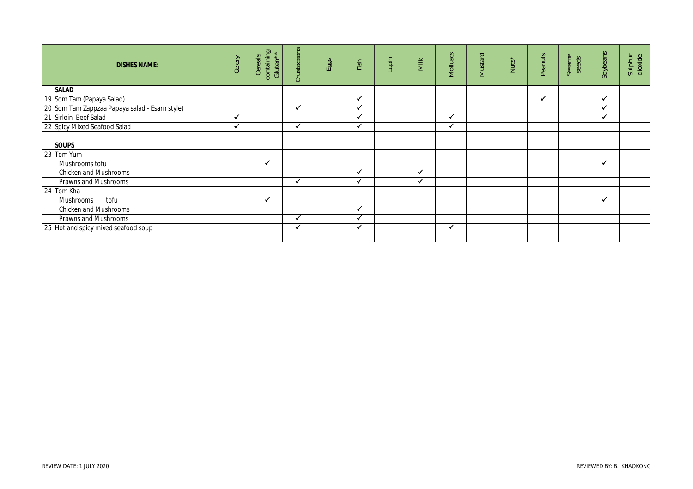| <b>DISHES NAME:</b>                                                                                           | Celery | containing<br>Gluten**<br>Cereals | Crustaceans  | Eggs | Fish         | Lupin | Milk         | Molluscs     | Mustard | Nuts* | Peanuts      | Sesame<br>seeds | Soybeans     | Sulphur<br>dioxide |
|---------------------------------------------------------------------------------------------------------------|--------|-----------------------------------|--------------|------|--------------|-------|--------------|--------------|---------|-------|--------------|-----------------|--------------|--------------------|
| <b>SALAD</b>                                                                                                  |        |                                   |              |      |              |       |              |              |         |       |              |                 |              |                    |
| 19 Som Tam (Papaya Salad)                                                                                     |        |                                   |              |      |              |       |              |              |         |       | $\checkmark$ |                 | $\checkmark$ |                    |
| - 20 Som Tam Zappzaa Papaya salad - Esarn style)<br>- 21 Sirloin Beef Salad<br>- 22 Spicy Mixed Seafood Salad |        |                                   | ✔            |      |              |       |              |              |         |       |              |                 |              |                    |
|                                                                                                               |        |                                   |              |      |              |       |              | $\checkmark$ |         |       |              |                 | $\checkmark$ |                    |
|                                                                                                               |        |                                   | ✔            |      |              |       |              | $\checkmark$ |         |       |              |                 |              |                    |
|                                                                                                               |        |                                   |              |      |              |       |              |              |         |       |              |                 |              |                    |
| <b>SOUPS</b>                                                                                                  |        |                                   |              |      |              |       |              |              |         |       |              |                 |              |                    |
| 23 Tom Yum                                                                                                    |        |                                   |              |      |              |       |              |              |         |       |              |                 |              |                    |
| Mushrooms tofu                                                                                                |        |                                   |              |      |              |       |              |              |         |       |              |                 |              |                    |
| Chicken and Mushrooms                                                                                         |        |                                   |              |      |              |       | $\checkmark$ |              |         |       |              |                 |              |                    |
| Prawns and Mushrooms                                                                                          |        |                                   | $\checkmark$ |      |              |       | $\checkmark$ |              |         |       |              |                 |              |                    |
| 24 Tom Kha                                                                                                    |        |                                   |              |      |              |       |              |              |         |       |              |                 |              |                    |
| tofu<br>Mushrooms                                                                                             |        |                                   |              |      |              |       |              |              |         |       |              |                 |              |                    |
| Chicken and Mushrooms                                                                                         |        |                                   |              |      |              |       |              |              |         |       |              |                 |              |                    |
| Prawns and Mushrooms                                                                                          |        |                                   | $\checkmark$ |      |              |       |              |              |         |       |              |                 |              |                    |
| 25 Hot and spicy mixed seafood soup                                                                           |        |                                   | $\checkmark$ |      | $\checkmark$ |       |              | $\checkmark$ |         |       |              |                 |              |                    |
|                                                                                                               |        |                                   |              |      |              |       |              |              |         |       |              |                 |              |                    |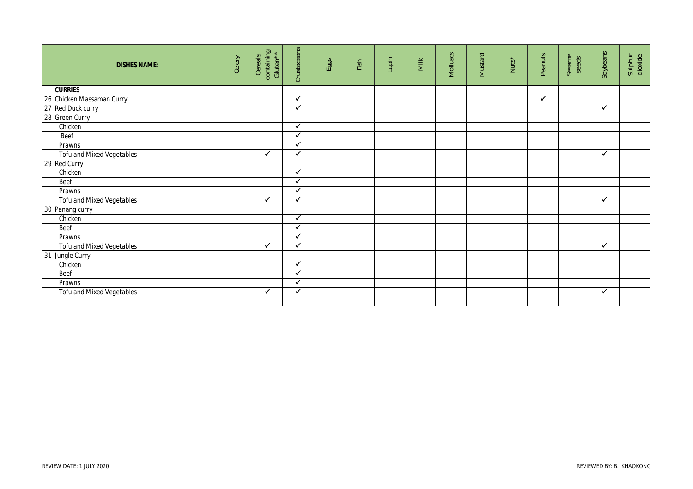| <b>DISHES NAME:</b>       | Celery | containing<br>Gluten**<br>Cereals | Crustaceans  | Eggs | Fish | Lupin | Milk | <b>Molluscs</b> | Mustard | $Nuts*$ | Peanuts | Sesame<br>seeds | Soybeans | Sulphur<br>dioxide |
|---------------------------|--------|-----------------------------------|--------------|------|------|-------|------|-----------------|---------|---------|---------|-----------------|----------|--------------------|
| <b>CURRIES</b>            |        |                                   |              |      |      |       |      |                 |         |         |         |                 |          |                    |
| 26 Chicken Massaman Curry |        |                                   | $\checkmark$ |      |      |       |      |                 |         |         | ✓       |                 |          |                    |
| 27 Red Duck curry         |        |                                   | ✓            |      |      |       |      |                 |         |         |         |                 | ✓        |                    |
| 28 Green Curry            |        |                                   |              |      |      |       |      |                 |         |         |         |                 |          |                    |
| Chicken                   |        |                                   | ✔            |      |      |       |      |                 |         |         |         |                 |          |                    |
| Beef                      |        |                                   | ✔            |      |      |       |      |                 |         |         |         |                 |          |                    |
| Prawns                    |        |                                   | ✔            |      |      |       |      |                 |         |         |         |                 |          |                    |
| Tofu and Mixed Vegetables |        | ✓                                 | ✔            |      |      |       |      |                 |         |         |         |                 | ✓        |                    |
| 29 Red Curry              |        |                                   |              |      |      |       |      |                 |         |         |         |                 |          |                    |
| Chicken                   |        |                                   | $\checkmark$ |      |      |       |      |                 |         |         |         |                 |          |                    |
| Beef                      |        |                                   | ✔            |      |      |       |      |                 |         |         |         |                 |          |                    |
| Prawns                    |        |                                   | ✓            |      |      |       |      |                 |         |         |         |                 |          |                    |
| Tofu and Mixed Vegetables |        | ✔                                 | ✓            |      |      |       |      |                 |         |         |         |                 | ✓        |                    |
| 30 Panang curry           |        |                                   |              |      |      |       |      |                 |         |         |         |                 |          |                    |
| Chicken                   |        |                                   | ✔            |      |      |       |      |                 |         |         |         |                 |          |                    |
| Beef                      |        |                                   | ✔            |      |      |       |      |                 |         |         |         |                 |          |                    |
| Prawns                    |        |                                   | ✓            |      |      |       |      |                 |         |         |         |                 |          |                    |
| Tofu and Mixed Vegetables |        | ✔                                 | ✓            |      |      |       |      |                 |         |         |         |                 | ✓        |                    |
| 31 Jungle Curry           |        |                                   |              |      |      |       |      |                 |         |         |         |                 |          |                    |
| Chicken                   |        |                                   | ✔            |      |      |       |      |                 |         |         |         |                 |          |                    |
| Beef                      |        |                                   | ✔            |      |      |       |      |                 |         |         |         |                 |          |                    |
| Prawns                    |        |                                   | ✓            |      |      |       |      |                 |         |         |         |                 |          |                    |
| Tofu and Mixed Vegetables |        | ✓                                 | ✓            |      |      |       |      |                 |         |         |         |                 | ✓        |                    |
|                           |        |                                   |              |      |      |       |      |                 |         |         |         |                 |          |                    |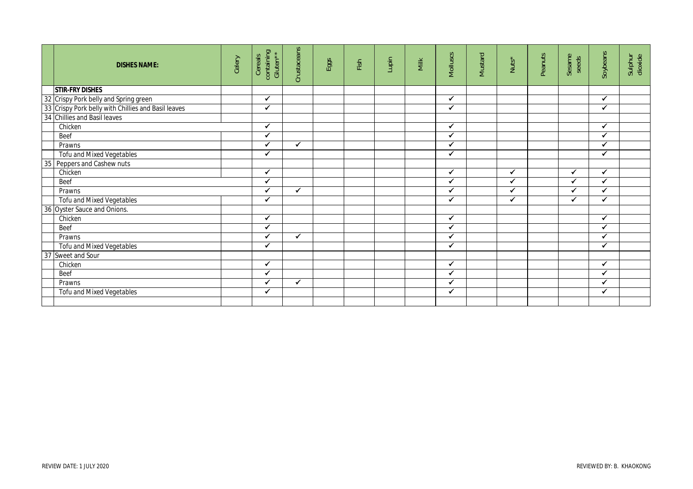| <b>DISHES NAME:</b>                                                                 | Celery | containing<br>Gluten**<br>Cereals | Crustaceans  | Eggs | Fish | Lupin | Milk | Molluscs     | Mustard | $Nuts*$      | Peanuts | Sesame<br>seeds | Soybeans     | Sulphur<br>dioxide |
|-------------------------------------------------------------------------------------|--------|-----------------------------------|--------------|------|------|-------|------|--------------|---------|--------------|---------|-----------------|--------------|--------------------|
| <b>STIR-FRY DISHES</b>                                                              |        |                                   |              |      |      |       |      |              |         |              |         |                 |              |                    |
| 32 Crispy Pork belly and Spring green                                               |        | ✔                                 |              |      |      |       |      | ✓            |         |              |         |                 | ✓            |                    |
| 33 Crispy Pork belly with Chillies and Basil leaves<br>34 Chillies and Basil leaves |        | ✓                                 |              |      |      |       |      | ✓            |         |              |         |                 | ✓            |                    |
|                                                                                     |        |                                   |              |      |      |       |      |              |         |              |         |                 |              |                    |
| Chicken                                                                             |        | ✔                                 |              |      |      |       |      | $\checkmark$ |         |              |         |                 | ✓            |                    |
| Beef                                                                                |        | ✔                                 |              |      |      |       |      | ✔            |         |              |         |                 | ✓            |                    |
| Prawns                                                                              |        | ✔                                 | $\checkmark$ |      |      |       |      | ✓            |         |              |         |                 | ✓            |                    |
| <b>Tofu and Mixed Vegetables</b>                                                    |        | ✔                                 |              |      |      |       |      | ✓            |         |              |         |                 | ✓            |                    |
| 35<br>Peppers and Cashew nuts                                                       |        |                                   |              |      |      |       |      |              |         |              |         |                 |              |                    |
| Chicken                                                                             |        | ✔                                 |              |      |      |       |      | ✓            |         | ✔            |         | ✔               | ✓            |                    |
| Beef                                                                                |        |                                   |              |      |      |       |      | ✔            |         |              |         | ✔               | ✓            |                    |
| Prawns                                                                              |        |                                   | $\checkmark$ |      |      |       |      | ✓            |         | $\checkmark$ |         | ✓               | ✓            |                    |
| <b>Tofu and Mixed Vegetables</b>                                                    |        | ✓                                 |              |      |      |       |      | ✓            |         | ✔            |         | ✓               | ✓            |                    |
| 36 Oyster Sauce and Onions.                                                         |        |                                   |              |      |      |       |      |              |         |              |         |                 |              |                    |
| Chicken                                                                             |        | ✓                                 |              |      |      |       |      | ✓            |         |              |         |                 | ✓            |                    |
| Beef                                                                                |        |                                   |              |      |      |       |      | ✔            |         |              |         |                 | ✔            |                    |
| Prawns                                                                              |        |                                   | $\checkmark$ |      |      |       |      | ✓            |         |              |         |                 | $\checkmark$ |                    |
| <b>Tofu and Mixed Vegetables</b>                                                    |        | ✔                                 |              |      |      |       |      | ✓            |         |              |         |                 | ✓            |                    |
| 37 Sweet and Sour                                                                   |        |                                   |              |      |      |       |      |              |         |              |         |                 |              |                    |
| Chicken                                                                             |        | ✔                                 |              |      |      |       |      | ✓            |         |              |         |                 | ✓            |                    |
| Beef                                                                                |        |                                   |              |      |      |       |      | ✔            |         |              |         |                 | ✔            |                    |
| Prawns                                                                              |        |                                   | $\checkmark$ |      |      |       |      | ✓            |         |              |         |                 | $\checkmark$ |                    |
| <b>Tofu and Mixed Vegetables</b>                                                    |        | ✓                                 |              |      |      |       |      | ✓            |         |              |         |                 | ✓            |                    |
|                                                                                     |        |                                   |              |      |      |       |      |              |         |              |         |                 |              |                    |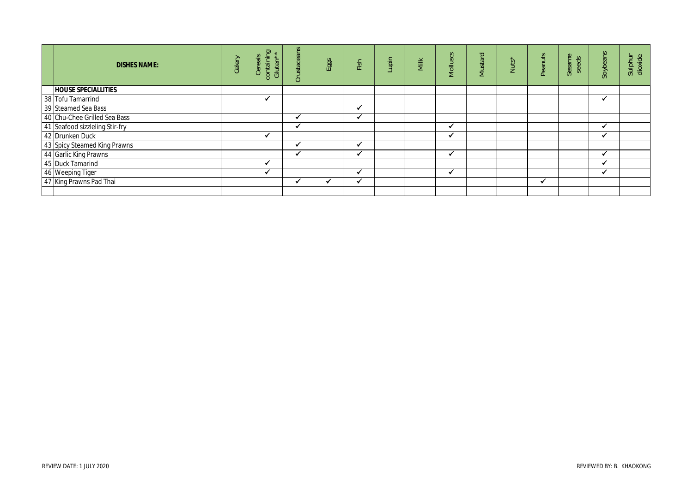| <b>DISHES NAME:</b>                             | Celery | containing<br>Gluten**<br>Cereals | Crustaceans | Eggs | Fish | Lupin | Milk | <b>Molluscs</b> | Mustard | Nuts* | Peanuts | Sesame<br>seeds | Soybeans | Sulphur<br>dioxide |
|-------------------------------------------------|--------|-----------------------------------|-------------|------|------|-------|------|-----------------|---------|-------|---------|-----------------|----------|--------------------|
| <b>HOUSE SPECIALLITIES</b>                      |        |                                   |             |      |      |       |      |                 |         |       |         |                 |          |                    |
| 38 Tofu Tamarrind                               |        |                                   |             |      |      |       |      |                 |         |       |         |                 |          |                    |
| 39 Steamed Sea Bass                             |        |                                   |             |      |      |       |      |                 |         |       |         |                 |          |                    |
| 40 Chu-Chee Grilled Sea Bass                    |        |                                   |             |      |      |       |      |                 |         |       |         |                 |          |                    |
| 41 Seafood sizzleling Stir-fry                  |        |                                   |             |      |      |       |      |                 |         |       |         |                 |          |                    |
|                                                 |        |                                   |             |      |      |       |      |                 |         |       |         |                 |          |                    |
| 42 Drunken Duck<br>43 Spicy Steamed King Prawns |        |                                   |             |      |      |       |      |                 |         |       |         |                 |          |                    |
| 44 Garlic King Prawns                           |        |                                   |             |      |      |       |      |                 |         |       |         |                 |          |                    |
| 45 Duck Tamarind                                |        |                                   |             |      |      |       |      |                 |         |       |         |                 |          |                    |
| 46 Weeping Tiger                                |        |                                   |             |      |      |       |      |                 |         |       |         |                 |          |                    |
| 47 King Prawns Pad Thai                         |        |                                   |             |      |      |       |      |                 |         |       |         |                 |          |                    |
|                                                 |        |                                   |             |      |      |       |      |                 |         |       |         |                 |          |                    |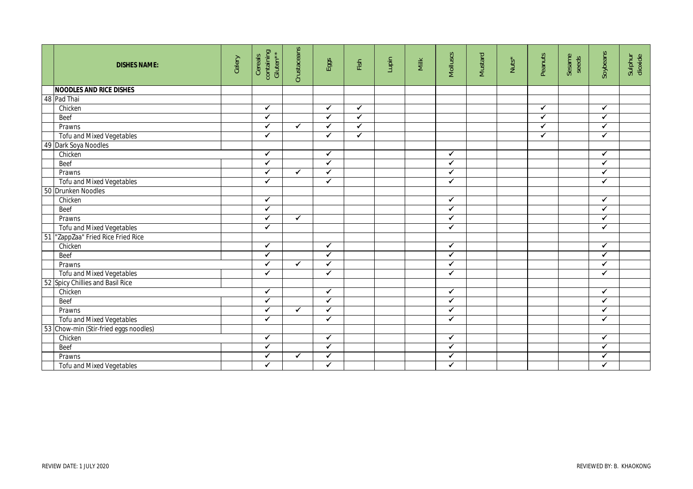|    | <b>DISHES NAME:</b>                   | Celery | Cereals<br>containing<br>Gluten** | Crustaceans  | Eggs         | Fish         | Lupin | Milk | Molluscs     | Mustard | $Nuts*$ | Peanuts      | Sesame<br>seeds | Soybeans     | Sulphur<br>dioxide |
|----|---------------------------------------|--------|-----------------------------------|--------------|--------------|--------------|-------|------|--------------|---------|---------|--------------|-----------------|--------------|--------------------|
|    | <b>NOODLES AND RICE DISHES</b>        |        |                                   |              |              |              |       |      |              |         |         |              |                 |              |                    |
|    | 48 Pad Thai                           |        |                                   |              |              |              |       |      |              |         |         |              |                 |              |                    |
|    | Chicken                               |        | $\checkmark$                      |              | $\checkmark$ | ✓            |       |      |              |         |         | $\checkmark$ |                 | $\checkmark$ |                    |
|    | Beef                                  |        | $\checkmark$                      |              | $\checkmark$ | $\checkmark$ |       |      |              |         |         | $\checkmark$ |                 | ✓            |                    |
|    | Prawns                                |        | ✓                                 | $\checkmark$ | $\checkmark$ | $\checkmark$ |       |      |              |         |         | $\checkmark$ |                 | $\checkmark$ |                    |
|    | Tofu and Mixed Vegetables             |        | $\checkmark$                      |              | $\checkmark$ | $\checkmark$ |       |      |              |         |         | ✓            |                 | $\checkmark$ |                    |
|    | 49 Dark Soya Noodles                  |        |                                   |              |              |              |       |      |              |         |         |              |                 |              |                    |
|    | Chicken                               |        | ✔                                 |              | ✔            |              |       |      | $\checkmark$ |         |         |              |                 | ✓            |                    |
|    | Beef                                  |        | ✔                                 |              | $\checkmark$ |              |       |      | $\checkmark$ |         |         |              |                 | ✓            |                    |
|    | Prawns                                |        | ✔                                 | $\checkmark$ | $\checkmark$ |              |       |      | $\checkmark$ |         |         |              |                 | ✔            |                    |
|    | Tofu and Mixed Vegetables             |        | ✓                                 |              | $\checkmark$ |              |       |      | $\checkmark$ |         |         |              |                 | $\checkmark$ |                    |
|    | 50 Drunken Noodles                    |        |                                   |              |              |              |       |      |              |         |         |              |                 |              |                    |
|    | Chicken                               |        | ✓                                 |              |              |              |       |      | $\checkmark$ |         |         |              |                 | $\checkmark$ |                    |
|    | Beef                                  |        | $\checkmark$                      |              |              |              |       |      | $\checkmark$ |         |         |              |                 | $\checkmark$ |                    |
|    | Prawns                                |        | ✔                                 | $\checkmark$ |              |              |       |      | $\checkmark$ |         |         |              |                 | ✓            |                    |
|    | <b>Tofu and Mixed Vegetables</b>      |        | $\checkmark$                      |              |              |              |       |      | $\checkmark$ |         |         |              |                 | $\checkmark$ |                    |
| 51 | "ZappZaa" Fried Rice Fried Rice       |        |                                   |              |              |              |       |      |              |         |         |              |                 |              |                    |
|    | Chicken                               |        | $\checkmark$                      |              | $\checkmark$ |              |       |      | $\checkmark$ |         |         |              |                 | ✓            |                    |
|    | Beef                                  |        | ✔                                 |              | ✔            |              |       |      | ✔            |         |         |              |                 | ✓            |                    |
|    | Prawns                                |        |                                   | ✓            | ✔            |              |       |      | ✓            |         |         |              |                 | ✔            |                    |
|    | Tofu and Mixed Vegetables             |        | ✔                                 |              | ✔            |              |       |      | $\checkmark$ |         |         |              |                 | ✔            |                    |
|    | 52 Spicy Chillies and Basil Rice      |        |                                   |              |              |              |       |      |              |         |         |              |                 |              |                    |
|    | Chicken                               |        | ✓                                 |              | $\checkmark$ |              |       |      | ✓            |         |         |              |                 | ✓            |                    |
|    | Beef                                  |        | ✓                                 |              | $\checkmark$ |              |       |      | $\checkmark$ |         |         |              |                 | ✓            |                    |
|    | Prawns                                |        | ✔                                 | $\checkmark$ | $\checkmark$ |              |       |      | $\checkmark$ |         |         |              |                 | $\checkmark$ |                    |
|    | Tofu and Mixed Vegetables             |        | ✔                                 |              | $\checkmark$ |              |       |      | $\checkmark$ |         |         |              |                 | $\checkmark$ |                    |
|    | 53 Chow-min (Stir-fried eggs noodles) |        |                                   |              |              |              |       |      |              |         |         |              |                 |              |                    |
|    | Chicken                               |        | ✓                                 |              | ✓            |              |       |      | ✓            |         |         |              |                 | ✔            |                    |
|    | Beef                                  |        | ✔                                 |              | ✓            |              |       |      | ✓            |         |         |              |                 | ✓            |                    |
|    | Prawns                                |        | ✔                                 | ✔            | ✓            |              |       |      | $\checkmark$ |         |         |              |                 | ✔            |                    |
|    | <b>Tofu and Mixed Vegetables</b>      |        | ✔                                 |              | $\checkmark$ |              |       |      | ✓            |         |         |              |                 | $\checkmark$ |                    |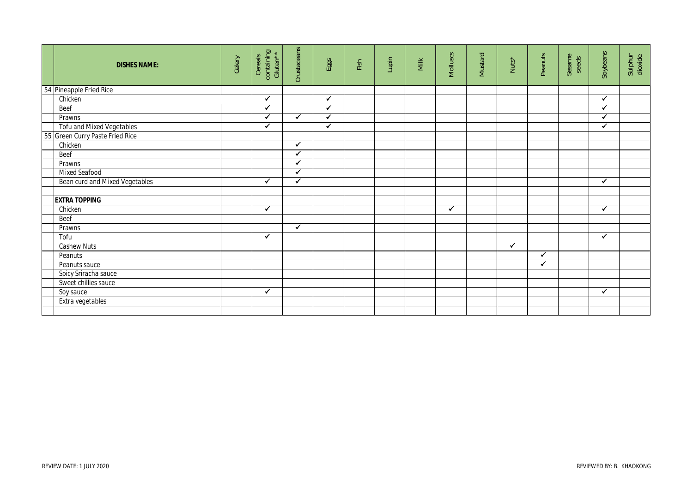| <b>DISHES NAME:</b>                   | Celery | containing<br>Gluten**<br>Cereals | Crustaceans  | Eggs         | Fish | Lupin | Milk | Molluscs | Mustard | $Nuts*$ | Peanuts | Sesame<br>seeds | Soybeans                | Sulphur<br>dioxide |
|---------------------------------------|--------|-----------------------------------|--------------|--------------|------|-------|------|----------|---------|---------|---------|-----------------|-------------------------|--------------------|
| 54 Pineapple Fried Rice               |        |                                   |              |              |      |       |      |          |         |         |         |                 |                         |                    |
| Chicken                               |        | $\checkmark$                      |              | ✓            |      |       |      |          |         |         |         |                 | $\checkmark$            |                    |
| <b>Beef</b>                           |        | ✓                                 |              | ✓            |      |       |      |          |         |         |         |                 | ✓                       |                    |
| Prawns                                |        | ✔                                 | ✓            | $\checkmark$ |      |       |      |          |         |         |         |                 | ✓                       |                    |
| Tofu and Mixed Vegetables             |        | ✔                                 |              | ✓            |      |       |      |          |         |         |         |                 | $\overline{\checkmark}$ |                    |
| 55 Green Curry Paste Fried Rice       |        |                                   |              |              |      |       |      |          |         |         |         |                 |                         |                    |
| Chicken                               |        |                                   | $\checkmark$ |              |      |       |      |          |         |         |         |                 |                         |                    |
| Beef                                  |        |                                   | ✓            |              |      |       |      |          |         |         |         |                 |                         |                    |
| Prawns                                |        |                                   | ✓            |              |      |       |      |          |         |         |         |                 |                         |                    |
| <b>Mixed Seafood</b>                  |        |                                   | $\checkmark$ |              |      |       |      |          |         |         |         |                 |                         |                    |
| <b>Bean curd and Mixed Vegetables</b> |        | $\checkmark$                      | $\checkmark$ |              |      |       |      |          |         |         |         |                 | $\checkmark$            |                    |
|                                       |        |                                   |              |              |      |       |      |          |         |         |         |                 |                         |                    |
| <b>EXTRA TOPPING</b>                  |        |                                   |              |              |      |       |      |          |         |         |         |                 |                         |                    |
| Chicken                               |        | $\checkmark$                      |              |              |      |       |      | ✓        |         |         |         |                 | ✓                       |                    |
| Beef                                  |        |                                   |              |              |      |       |      |          |         |         |         |                 |                         |                    |
| Prawns                                |        |                                   | $\checkmark$ |              |      |       |      |          |         |         |         |                 |                         |                    |
| Tofu                                  |        | $\checkmark$                      |              |              |      |       |      |          |         |         |         |                 | $\checkmark$            |                    |
| Cashew Nuts                           |        |                                   |              |              |      |       |      |          |         | ✓       |         |                 |                         |                    |
| Peanuts                               |        |                                   |              |              |      |       |      |          |         |         | ✔       |                 |                         |                    |
| Peanuts sauce                         |        |                                   |              |              |      |       |      |          |         |         | ✔       |                 |                         |                    |
| Spicy Sriracha sauce                  |        |                                   |              |              |      |       |      |          |         |         |         |                 |                         |                    |
| Sweet chillies sauce                  |        |                                   |              |              |      |       |      |          |         |         |         |                 |                         |                    |
| Soy sauce                             |        | $\checkmark$                      |              |              |      |       |      |          |         |         |         |                 | $\checkmark$            |                    |
| Extra vegetables                      |        |                                   |              |              |      |       |      |          |         |         |         |                 |                         |                    |
|                                       |        |                                   |              |              |      |       |      |          |         |         |         |                 |                         |                    |